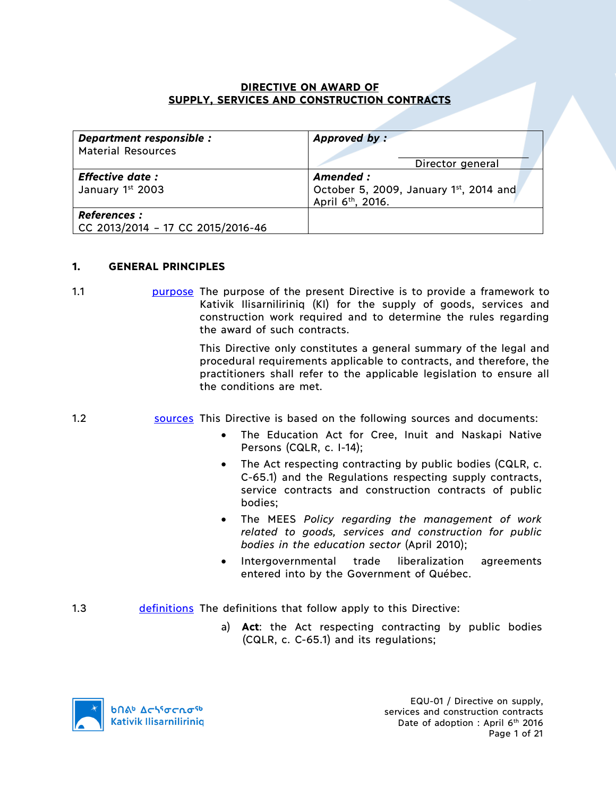### **DIRECTIVE ON AWARD OF SUPPLY, SERVICES AND CONSTRUCTION CONTRACTS**

| Department responsible :<br><b>Material Resources</b>    | Approved by:<br>Director general                                                     |
|----------------------------------------------------------|--------------------------------------------------------------------------------------|
| <b>Effective date:</b><br>January 1st 2003               | Amended :<br>October 5, 2009, January 1st, 2014 and<br>April 6 <sup>th</sup> , 2016. |
| <b>References :</b><br>CC 2013/2014 - 17 CC 2015/2016-46 |                                                                                      |

### **1. GENERAL PRINCIPLES**

1.1 purpose The purpose of the present Directive is to provide a framework to Kativik Ilisarniliriniq (KI) for the supply of goods, services and construction work required and to determine the rules regarding the award of such contracts.

> This Directive only constitutes a general summary of the legal and procedural requirements applicable to contracts, and therefore, the practitioners shall refer to the applicable legislation to ensure all the conditions are met.

- 1.2 sources This Directive is based on the following sources and documents:
	- The Education Act for Cree, Inuit and Naskapi Native Persons (CQLR, c. I-14);
	- The Act respecting contracting by public bodies (CQLR, c. C-65.1) and the Regulations respecting supply contracts, service contracts and construction contracts of public bodies;
	- The MEES *Policy regarding the management of work related to goods, services and construction for public bodies in the education sector* (April 2010);
	- Intergovernmental trade liberalization agreements entered into by the Government of Québec.
- 1.3 definitions The definitions that follow apply to this Directive:
	- a) **Act**: the Act respecting contracting by public bodies (CQLR, c. C-65.1) and its regulations;

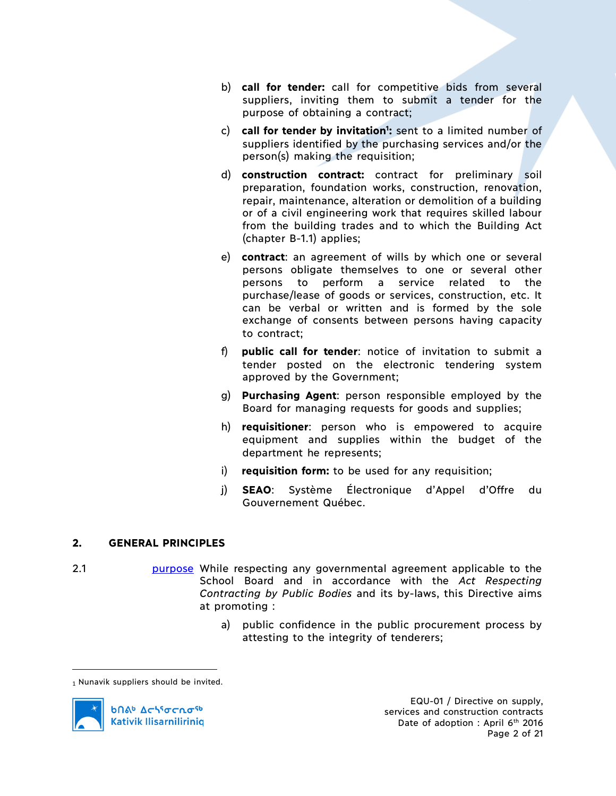- b) **call for tender:** call for competitive bids from several suppliers, inviting them to submit a tender for the purpose of obtaining a contract;
- c) call for tender by invitation<sup>1</sup>: sent to a limited number of suppliers identified by the purchasing services and/or the person(s) making the requisition;
- d) **construction contract:** contract for preliminary soil preparation, foundation works, construction, renovation, repair, maintenance, alteration or demolition of a building or of a civil engineering work that requires skilled labour from the building trades and to which the Building Act (chapter B-1.1) applies;
- e) **contract**: an agreement of wills by which one or several persons obligate themselves to one or several other persons to perform a service related to the purchase/lease of goods or services, construction, etc. It can be verbal or written and is formed by the sole exchange of consents between persons having capacity to contract;
- f) **public call for tender**: notice of invitation to submit a tender posted on the electronic tendering system approved by the Government;
- g) **Purchasing Agent**: person responsible employed by the Board for managing requests for goods and supplies;
- h) **requisitioner**: person who is empowered to acquire equipment and supplies within the budget of the department he represents;
- i) **requisition form:** to be used for any requisition;
- j) **SEAO**: Système Électronique d'Appel d'Offre du Gouvernement Québec.

# **2. GENERAL PRINCIPLES**

- 2.1 **burpose** While respecting any governmental agreement applicable to the School Board and in accordance with the *Act Respecting Contracting by Public Bodies* and its by-laws, this Directive aims at promoting :
	- a) public confidence in the public procurement process by attesting to the integrity of tenderers;

<sup>1</sup> Nunavik suppliers should be invited.



 $\overline{a}$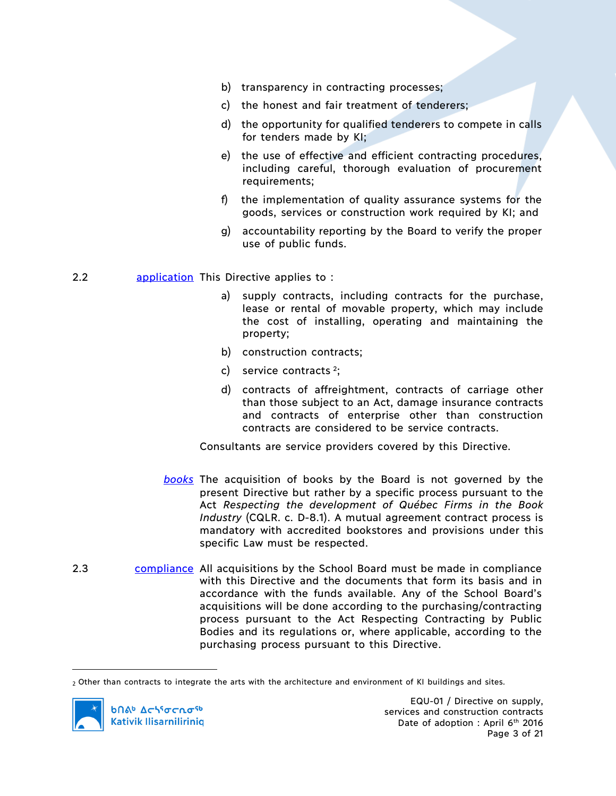- b) transparency in contracting processes;
- c) the honest and fair treatment of tenderers;
- d) the opportunity for qualified tenderers to compete in calls for tenders made by KI;
- e) the use of effective and efficient contracting procedures, including careful, thorough evaluation of procurement requirements;
- f) the implementation of quality assurance systems for the goods, services or construction work required by KI; and
- g) accountability reporting by the Board to verify the proper use of public funds.

### 2.2 **application** This Directive applies to :

- a) supply contracts, including contracts for the purchase, lease or rental of movable property, which may include the cost of installing, operating and maintaining the property;
- b) construction contracts;
- c) service contracts  $2$ ;
- d) contracts of affreightment, contracts of carriage other than those subject to an Act, damage insurance contracts and contracts of enterprise other than construction contracts are considered to be service contracts.

Consultants are service providers covered by this Directive.

- *books* The acquisition of books by the Board is not governed by the present Directive but rather by a specific process pursuant to the Act *Respecting the development of Québec Firms in the Book Industry* (CQLR. c. D-8.1). A mutual agreement contract process is mandatory with accredited bookstores and provisions under this specific Law must be respected.
- 2.3 compliance All acquisitions by the School Board must be made in compliance with this Directive and the documents that form its basis and in accordance with the funds available. Any of the School Board's acquisitions will be done according to the purchasing/contracting process pursuant to the Act Respecting Contracting by Public Bodies and its regulations or, where applicable, according to the purchasing process pursuant to this Directive.

<sup>2</sup> Other than contracts to integrate the arts with the architecture and environment of KI buildings and sites.



 $\overline{a}$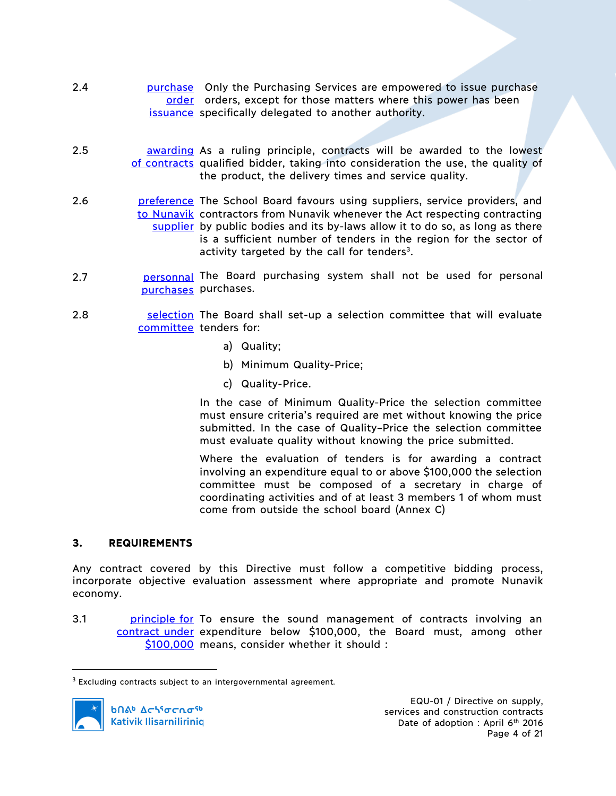- 2.4 **burier purchase** Only the Purchasing Services are empowered to issue purchase order orders, except for those matters where this power has been issuance specifically delegated to another authority.
- 2.5 **awarding** As a ruling principle, contracts will be awarded to the lowest of contracts qualified bidder, taking into consideration the use, the quality of the product, the delivery times and service quality.
- 2.6 **preference** The School Board favours using suppliers, service providers, and to Nunavik contractors from Nunavik whenever the Act respecting contracting supplier by public bodies and its by-laws allow it to do so, as long as there is a sufficient number of tenders in the region for the sector of activity targeted by the call for tenders<sup>3</sup>.
- 2.7 **personnal** The Board purchasing system shall not be used for personal purchases purchases.
- 2.8 **Selection** The Board shall set-up a selection committee that will evaluate committee tenders for:
	- a) Quality;
	- b) Minimum Quality-Price;
	- c) Quality-Price.

In the case of Minimum Quality-Price the selection committee must ensure criteria's required are met without knowing the price submitted. In the case of Quality–Price the selection committee must evaluate quality without knowing the price submitted.

Where the evaluation of tenders is for awarding a contract involving an expenditure equal to or above \$100,000 the selection committee must be composed of a secretary in charge of coordinating activities and of at least 3 members 1 of whom must come from outside the school board (Annex C)

### **3. REQUIREMENTS**

Any contract covered by this Directive must follow a competitive bidding process, incorporate objective evaluation assessment where appropriate and promote Nunavik economy.

3.1 **principle for To ensure the sound management of contracts involving an** contract under expenditure below \$100,000, the Board must, among other \$100,000 means, consider whether it should :

 <sup>3</sup> Excluding contracts subject to an intergovernmental agreement*.*

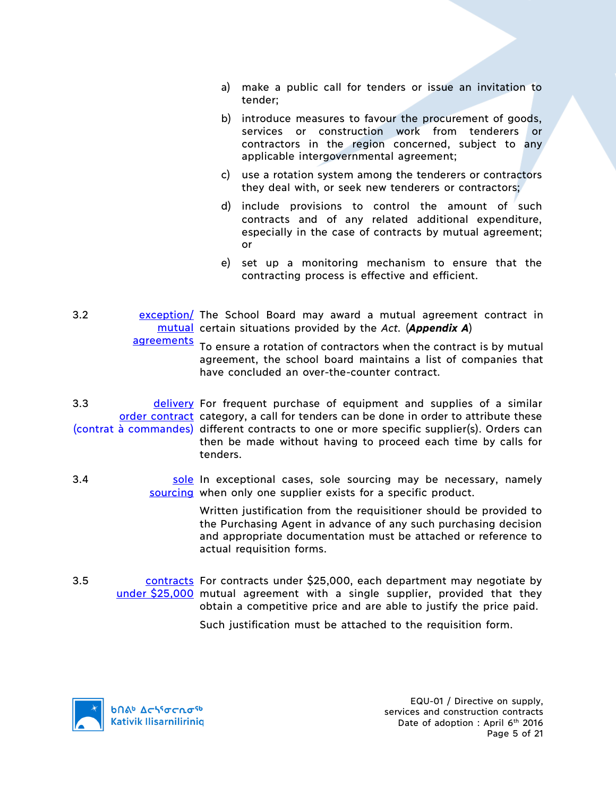- a) make a public call for tenders or issue an invitation to tender;
- b) introduce measures to favour the procurement of goods, services or construction work from tenderers or contractors in the region concerned, subject to any applicable intergovernmental agreement;
- c) use a rotation system among the tenderers or contractors they deal with, or seek new tenderers or contractors;
- d) include provisions to control the amount of such contracts and of any related additional expenditure, especially in the case of contracts by mutual agreement; or
- e) set up a monitoring mechanism to ensure that the contracting process is effective and efficient.
- 3.2 exception/ The School Board may award a mutual agreement contract in mutual certain situations provided by the *Act.* (*Appendix A*) agreements

To ensure a rotation of contractors when the contract is by mutual agreement, the school board maintains a list of companies that have concluded an over-the-counter contract.

- 3.3 delivery For frequent purchase of equipment and supplies of a similar order contract category, a call for tenders can be done in order to attribute these (contrat à commandes) different contracts to one or more specific supplier(s). Orders can then be made without having to proceed each time by calls for tenders.
- 3.4 Sole In exceptional cases, sole sourcing may be necessary, namely sourcing when only one supplier exists for a specific product.

Written justification from the requisitioner should be provided to the Purchasing Agent in advance of any such purchasing decision and appropriate documentation must be attached or reference to actual requisition forms.

3.5 contracts For contracts under \$25,000, each department may negotiate by under \$25,000 mutual agreement with a single supplier, provided that they obtain a competitive price and are able to justify the price paid.

Such justification must be attached to the requisition form.

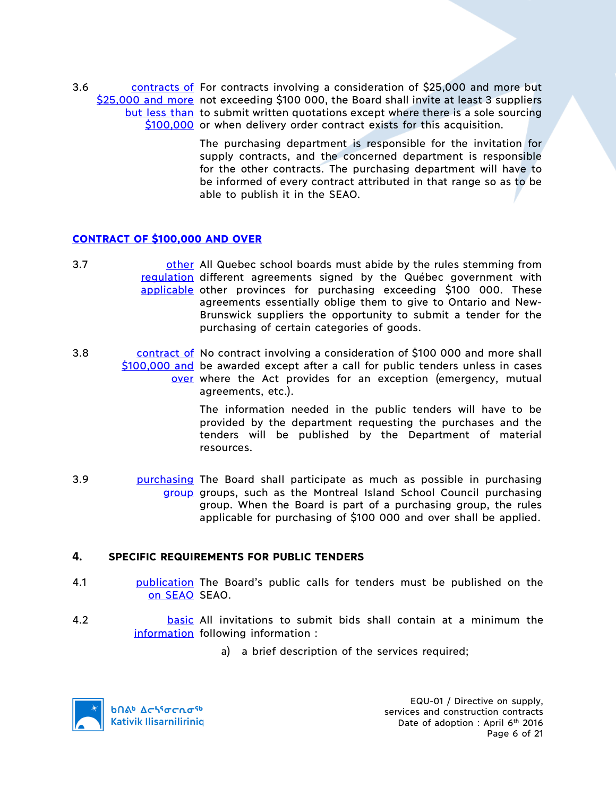3.6 contracts of For contracts involving a consideration of \$25,000 and more but \$25,000 and more not exceeding \$100 000, the Board shall invite at least 3 suppliers but less than to submit written quotations except where there is a sole sourcing \$100,000 or when delivery order contract exists for this acquisition.

> The purchasing department is responsible for the invitation for supply contracts, and the concerned department is responsible for the other contracts. The purchasing department will have to be informed of every contract attributed in that range so as to be able to publish it in the SEAO.

### **CONTRACT OF \$100,000 AND OVER**

- 3.7 **butch of the state of the Constant Constant Constant Constant Constant Constant Constant Constant Constant** regulation different agreements signed by the Québec government with applicable other provinces for purchasing exceeding \$100 000. These agreements essentially oblige them to give to Ontario and New-Brunswick suppliers the opportunity to submit a tender for the purchasing of certain categories of goods.
- 3.8 contract of No contract involving a consideration of \$100 000 and more shall \$100,000 and be awarded except after a call for public tenders unless in cases over where the Act provides for an exception (emergency, mutual agreements, etc.).

The information needed in the public tenders will have to be provided by the department requesting the purchases and the tenders will be published by the Department of material resources.

3.9 **purchasing** The Board shall participate as much as possible in purchasing group groups, such as the Montreal Island School Council purchasing group. When the Board is part of a purchasing group, the rules applicable for purchasing of \$100 000 and over shall be applied.

### **4. SPECIFIC REQUIREMENTS FOR PUBLIC TENDERS**

- 4.1 **bublication** The Board's public calls for tenders must be published on the on SEAO SEAO.
- 4.2 **basic** All invitations to submit bids shall contain at a minimum the information following information :
	- a) a brief description of the services required;

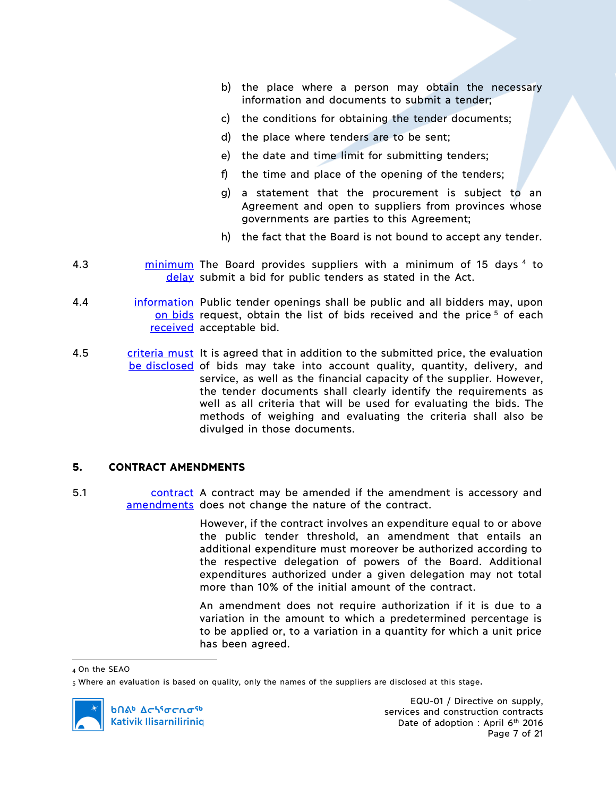- b) the place where a person may obtain the necessary information and documents to submit a tender;
- c) the conditions for obtaining the tender documents;
- d) the place where tenders are to be sent;
- e) the date and time limit for submitting tenders;
- f) the time and place of the opening of the tenders;
- g) a statement that the procurement is subject to an Agreement and open to suppliers from provinces whose governments are parties to this Agreement;
- h) the fact that the Board is not bound to accept any tender.
- 4.3 **minimum** The Board provides suppliers with a minimum of 15 days 4 to delay submit a bid for public tenders as stated in the Act.
- 4.4 **information** Public tender openings shall be public and all bidders may, upon on bids request, obtain the list of bids received and the price<sup>5</sup> of each received acceptable bid.
- 4.5 criteria must It is agreed that in addition to the submitted price, the evaluation be disclosed of bids may take into account quality, quantity, delivery, and service, as well as the financial capacity of the supplier. However, the tender documents shall clearly identify the requirements as well as all criteria that will be used for evaluating the bids. The methods of weighing and evaluating the criteria shall also be divulged in those documents.

# **5. CONTRACT AMENDMENTS**

5.1 contract A contract may be amended if the amendment is accessory and amendments does not change the nature of the contract.

> However, if the contract involves an expenditure equal to or above the public tender threshold, an amendment that entails an additional expenditure must moreover be authorized according to the respective delegation of powers of the Board. Additional expenditures authorized under a given delegation may not total more than 10% of the initial amount of the contract.

> An amendment does not require authorization if it is due to a variation in the amount to which a predetermined percentage is to be applied or, to a variation in a quantity for which a unit price has been agreed.

 <sup>4</sup> On the SEAO

<sup>5</sup> Where an evaluation is based on quality, only the names of the suppliers are disclosed at this stage.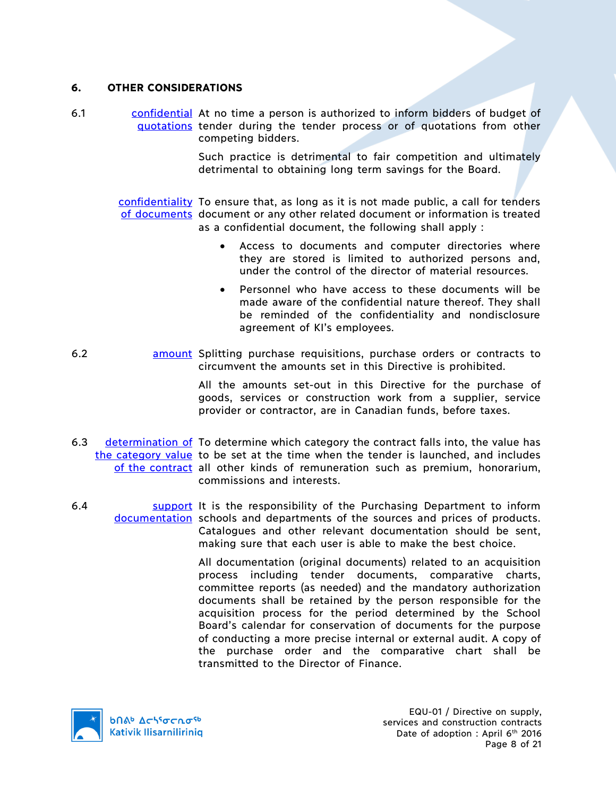### **6. OTHER CONSIDERATIONS**

6.1 confidential At no time a person is authorized to inform bidders of budget of quotations tender during the tender process or of quotations from other competing bidders.

> Such practice is detrimental to fair competition and ultimately detrimental to obtaining long term savings for the Board.

confidentiality To ensure that, as long as it is not made public, a call for tenders of documents document or any other related document or information is treated as a confidential document, the following shall apply :

- Access to documents and computer directories where they are stored is limited to authorized persons and, under the control of the director of material resources.
- Personnel who have access to these documents will be made aware of the confidential nature thereof. They shall be reminded of the confidentiality and nondisclosure agreement of KI's employees.
- 6.2 **amount** Splitting purchase requisitions, purchase orders or contracts to circumvent the amounts set in this Directive is prohibited.

All the amounts set-out in this Directive for the purchase of goods, services or construction work from a supplier, service provider or contractor, are in Canadian funds, before taxes.

- 6.3 determination of To determine which category the contract falls into, the value has the category value to be set at the time when the tender is launched, and includes of the contract all other kinds of remuneration such as premium, honorarium, commissions and interests.
- 6.4 **Support** It is the responsibility of the Purchasing Department to inform documentation schools and departments of the sources and prices of products. Catalogues and other relevant documentation should be sent, making sure that each user is able to make the best choice.

All documentation (original documents) related to an acquisition process including tender documents, comparative charts, committee reports (as needed) and the mandatory authorization documents shall be retained by the person responsible for the acquisition process for the period determined by the School Board's calendar for conservation of documents for the purpose of conducting a more precise internal or external audit. A copy of the purchase order and the comparative chart shall be transmitted to the Director of Finance.

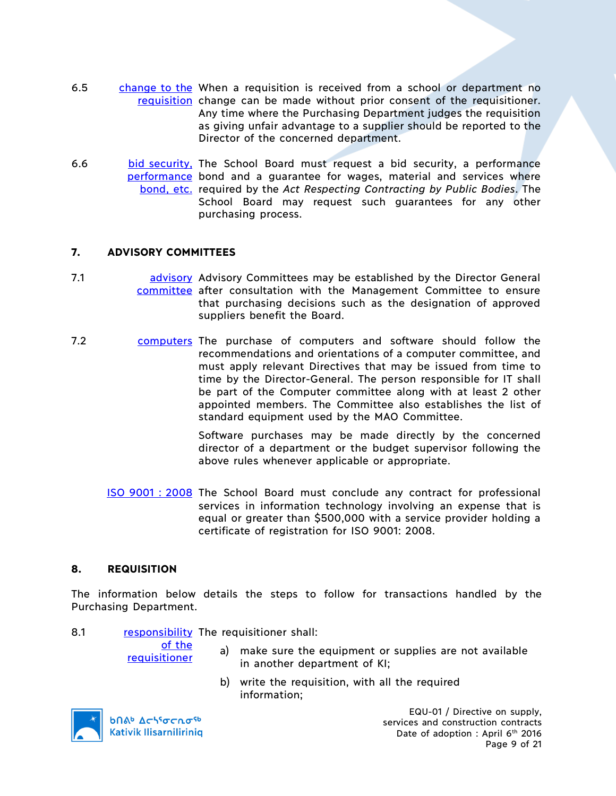- 6.5 change to the When a requisition is received from a school or department no requisition change can be made without prior consent of the requisitioner. Any time where the Purchasing Department judges the requisition as giving unfair advantage to a supplier should be reported to the Director of the concerned department.
- 6.6 bid security, The School Board must request a bid security, a performance performance bond and a guarantee for wages, material and services where bond, etc. required by the *Act Respecting Contracting by Public Bodies*. The School Board may request such guarantees for any other purchasing process.

### **7. ADVISORY COMMITTEES**

- 7.1 **and advisory Advisory Committees may be established by the Director General** committee after consultation with the Management Committee to ensure that purchasing decisions such as the designation of approved suppliers benefit the Board.
- 7.2 computers The purchase of computers and software should follow the recommendations and orientations of a computer committee, and must apply relevant Directives that may be issued from time to time by the Director-General. The person responsible for IT shall be part of the Computer committee along with at least 2 other appointed members. The Committee also establishes the list of standard equipment used by the MAO Committee.

Software purchases may be made directly by the concerned director of a department or the budget supervisor following the above rules whenever applicable or appropriate.

ISO 9001 : 2008 The School Board must conclude any contract for professional services in information technology involving an expense that is equal or greater than \$500,000 with a service provider holding a certificate of registration for ISO 9001: 2008.

# **8. REQUISITION**

The information below details the steps to follow for transactions handled by the Purchasing Department.

| 8.1 | responsibility The requisitioner shall: |
|-----|-----------------------------------------|
|-----|-----------------------------------------|

of the

- a) make sure the equipment or supplies are not available in another department of KI;
	- b) write the requisition, with all the required information;



**b** Achiocnosb **Kativik Ilisarniliriniq** 

requisitioner

EQU-01 / Directive on supply, services and construction contracts Date of adoption : April 6<sup>th</sup> 2016 Page 9 of 21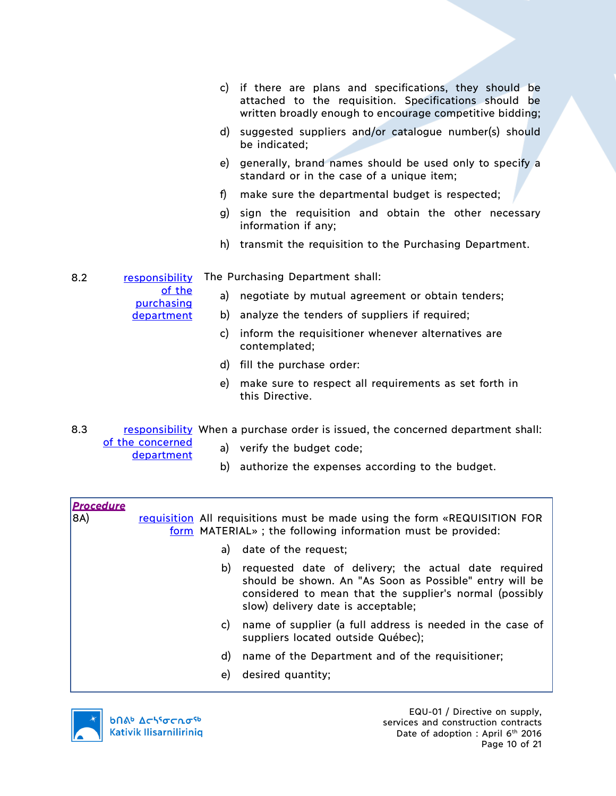- c) if there are plans and specifications, they should be attached to the requisition. Specifications should be written broadly enough to encourage competitive bidding;
- d) suggested suppliers and/or catalogue number(s) should be indicated;
- e) generally, brand names should be used only to specify a standard or in the case of a unique item;
- f) make sure the departmental budget is respected;
- g) sign the requisition and obtain the other necessary information if any;
- h) transmit the requisition to the Purchasing Department.
- 8.2 responsibility The Purchasing Department shall:
	- of the

purchasing department

- a) negotiate by mutual agreement or obtain tenders;
- b) analyze the tenders of suppliers if required;
	- c) inform the requisitioner whenever alternatives are contemplated;
	- d) fill the purchase order:
	- e) make sure to respect all requirements as set forth in this Directive.

8.3 responsibility When a purchase order is issued, the concerned department shall: of the concerned

- department
- a) verify the budget code;
	- b) authorize the expenses according to the budget.

| <b>Procedure</b><br>8A) | requisition All requisitions must be made using the form «REQUISITION FOR<br>form MATERIAL»; the following information must be provided: |                                                                                                                                                                                                                  |  |
|-------------------------|------------------------------------------------------------------------------------------------------------------------------------------|------------------------------------------------------------------------------------------------------------------------------------------------------------------------------------------------------------------|--|
|                         | a)                                                                                                                                       | date of the request;                                                                                                                                                                                             |  |
|                         | b)                                                                                                                                       | requested date of delivery; the actual date required<br>should be shown. An "As Soon as Possible" entry will be<br>considered to mean that the supplier's normal (possibly<br>slow) delivery date is acceptable; |  |
|                         | C)                                                                                                                                       | name of supplier (a full address is needed in the case of<br>suppliers located outside Québec);                                                                                                                  |  |
|                         | d)                                                                                                                                       | name of the Department and of the requisitioner;                                                                                                                                                                 |  |
|                         | e)                                                                                                                                       | desired quantity;                                                                                                                                                                                                |  |

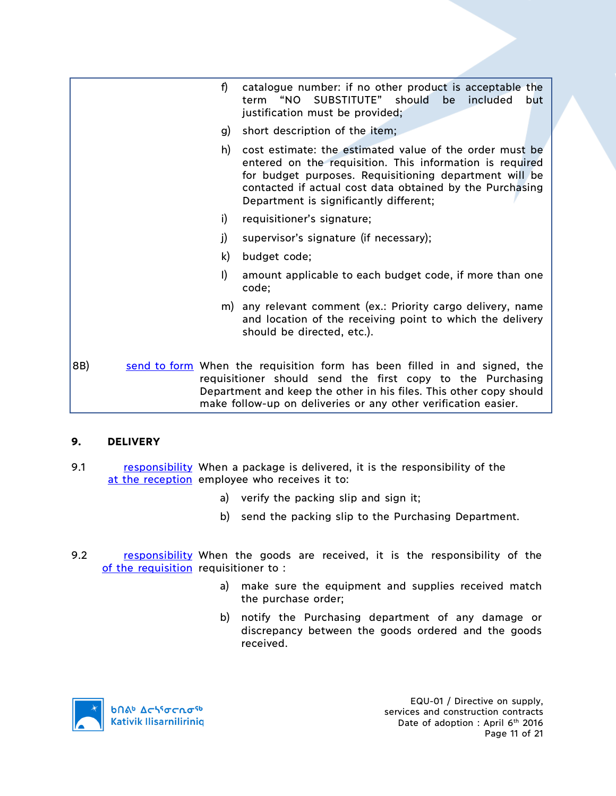|     | f)      | catalogue number: if no other product is acceptable the<br>SUBSTITUTE" should<br>"NO<br>be<br>included<br>term<br>but<br>justification must be provided;                                                                                                                            |
|-----|---------|-------------------------------------------------------------------------------------------------------------------------------------------------------------------------------------------------------------------------------------------------------------------------------------|
|     | g)      | short description of the item;                                                                                                                                                                                                                                                      |
|     | h)      | cost estimate: the estimated value of the order must be<br>entered on the requisition. This information is required<br>for budget purposes. Requisitioning department will be<br>contacted if actual cost data obtained by the Purchasing<br>Department is significantly different; |
|     | i)      | requisitioner's signature;                                                                                                                                                                                                                                                          |
|     | j)      | supervisor's signature (if necessary);                                                                                                                                                                                                                                              |
|     | k)      | budget code;                                                                                                                                                                                                                                                                        |
|     | $\vert$ | amount applicable to each budget code, if more than one<br>code;                                                                                                                                                                                                                    |
|     |         | m) any relevant comment (ex.: Priority cargo delivery, name<br>and location of the receiving point to which the delivery<br>should be directed, etc.).                                                                                                                              |
| 8B) |         | send to form When the requisition form has been filled in and signed, the<br>requisitioner should send the first copy to the Purchasing<br>Department and keep the other in his files. This other copy should<br>make follow-up on deliveries or any other verification easier.     |

# **9. DELIVERY**

- 9.1 responsibility When a package is delivered, it is the responsibility of the at the reception employee who receives it to:
	- a) verify the packing slip and sign it;
	- b) send the packing slip to the Purchasing Department.
- 9.2 **responsibility** When the goods are received, it is the responsibility of the of the requisition requisitioner to:
	- a) make sure the equipment and supplies received match the purchase order;
	- b) notify the Purchasing department of any damage or discrepancy between the goods ordered and the goods received.

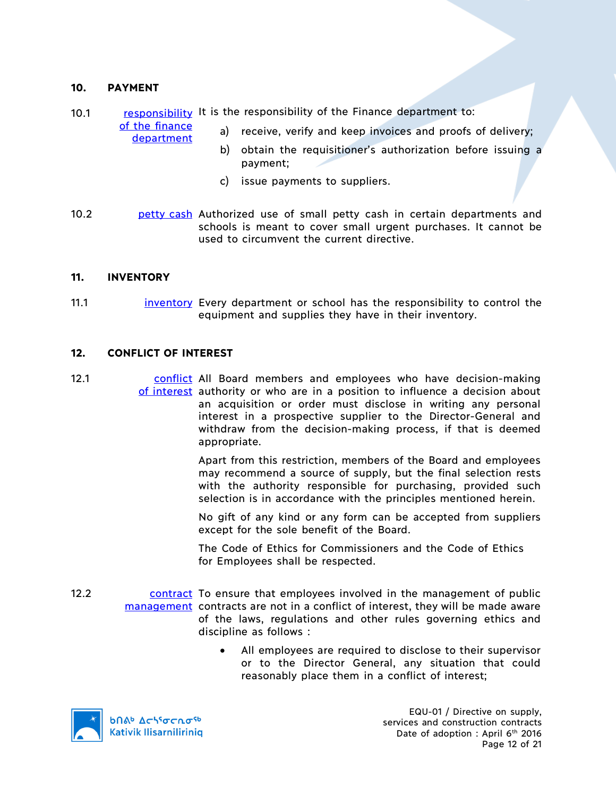### **10. PAYMENT**

10.1 responsibility It is the responsibility of the Finance department to:

of the finance department

- a) receive, verify and keep invoices and proofs of delivery;
	- b) obtain the requisitioner's authorization before issuing a payment;
	- c) issue payments to suppliers.
- 10.2 **petty cash** Authorized use of small petty cash in certain departments and schools is meant to cover small urgent purchases. It cannot be used to circumvent the current directive.

#### **11. INVENTORY**

11.1 inventory Every department or school has the responsibility to control the equipment and supplies they have in their inventory.

#### **12. CONFLICT OF INTEREST**

12.1 conflict All Board members and employees who have decision-making of interest authority or who are in a position to influence a decision about an acquisition or order must disclose in writing any personal interest in a prospective supplier to the Director-General and withdraw from the decision-making process, if that is deemed appropriate.

> Apart from this restriction, members of the Board and employees may recommend a source of supply, but the final selection rests with the authority responsible for purchasing, provided such selection is in accordance with the principles mentioned herein.

> No gift of any kind or any form can be accepted from suppliers except for the sole benefit of the Board.

The Code of Ethics for Commissioners and the Code of Ethics for Employees shall be respected.

- 12.2 contract To ensure that employees involved in the management of public management contracts are not in a conflict of interest, they will be made aware of the laws, regulations and other rules governing ethics and discipline as follows :
	- All employees are required to disclose to their supervisor or to the Director General, any situation that could reasonably place them in a conflict of interest;



**b** Achiocnosb **Kativik Ilisarniliriniq** 

EQU-01 / Directive on supply, services and construction contracts Date of adoption : April 6<sup>th</sup> 2016 Page 12 of 21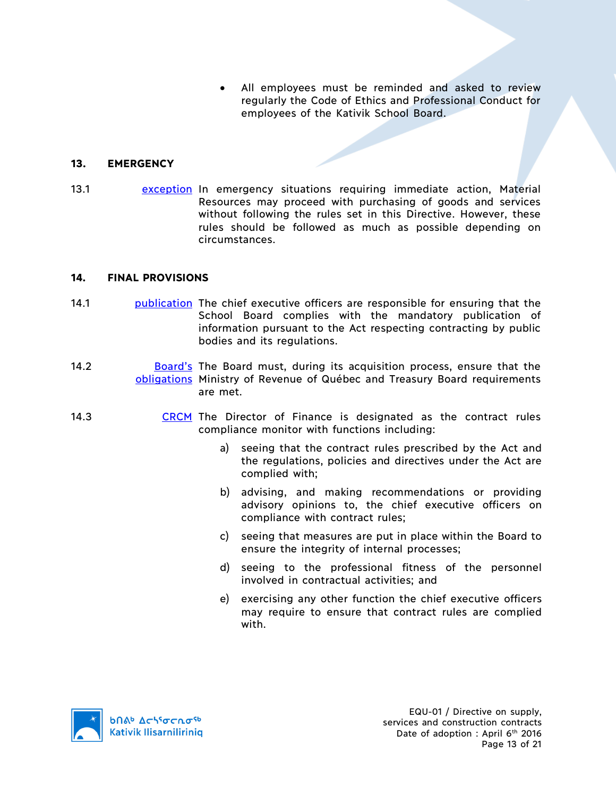All employees must be reminded and asked to review regularly the Code of Ethics and Professional Conduct for employees of the Kativik School Board.

# **13. EMERGENCY**

13.1 **exception In emergency situations requiring immediate action, Material** Resources may proceed with purchasing of goods and services without following the rules set in this Directive. However, these rules should be followed as much as possible depending on circumstances.

### **14. FINAL PROVISIONS**

- 14.1 **publication** The chief executive officers are responsible for ensuring that the School Board complies with the mandatory publication of information pursuant to the Act respecting contracting by public bodies and its regulations.
- 14.2 **Board's** The Board must, during its acquisition process, ensure that the obligations Ministry of Revenue of Québec and Treasury Board requirements are met.
- 14.3 CRCM The Director of Finance is designated as the contract rules compliance monitor with functions including:
	- a) seeing that the contract rules prescribed by the Act and the regulations, policies and directives under the Act are complied with;
	- b) advising, and making recommendations or providing advisory opinions to, the chief executive officers on compliance with contract rules;
	- c) seeing that measures are put in place within the Board to ensure the integrity of internal processes;
	- d) seeing to the professional fitness of the personnel involved in contractual activities; and
	- e) exercising any other function the chief executive officers may require to ensure that contract rules are complied with.

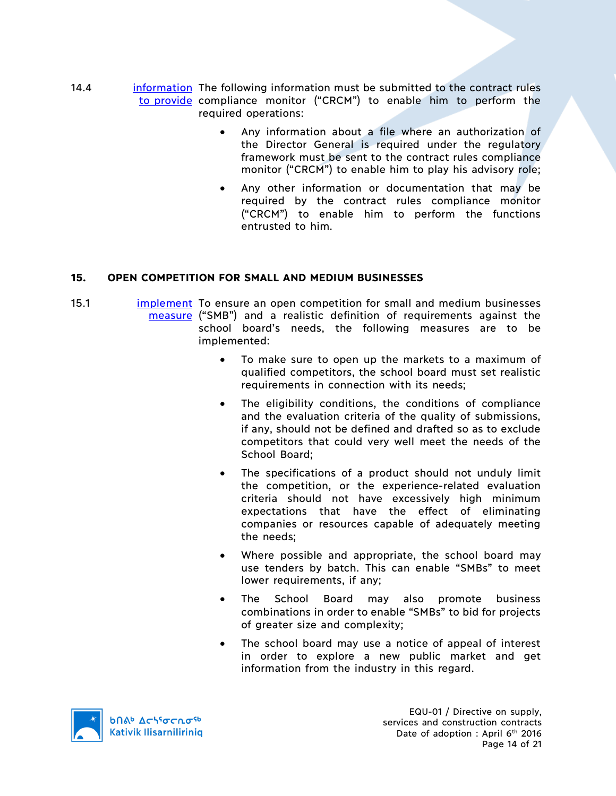- 14.4 information The following information must be submitted to the contract rules to provide compliance monitor ("CRCM") to enable him to perform the required operations:
	- Any information about a file where an authorization of the Director General is required under the regulatory framework must be sent to the contract rules compliance monitor ("CRCM") to enable him to play his advisory role;
	- Any other information or documentation that may be required by the contract rules compliance monitor ("CRCM") to enable him to perform the functions entrusted to him.

# **15. OPEN COMPETITION FOR SMALL AND MEDIUM BUSINESSES**

- 15.1 **implement** To ensure an open competition for small and medium businesses measure ("SMB") and a realistic definition of requirements against the school board's needs, the following measures are to be implemented:
	- To make sure to open up the markets to a maximum of qualified competitors, the school board must set realistic requirements in connection with its needs;
	- The eligibility conditions, the conditions of compliance and the evaluation criteria of the quality of submissions, if any, should not be defined and drafted so as to exclude competitors that could very well meet the needs of the School Board;
	- The specifications of a product should not unduly limit the competition, or the experience-related evaluation criteria should not have excessively high minimum expectations that have the effect of eliminating companies or resources capable of adequately meeting the needs;
	- Where possible and appropriate, the school board may use tenders by batch. This can enable "SMBs" to meet lower requirements, if any;
	- The School Board may also promote business combinations in order to enable "SMBs" to bid for projects of greater size and complexity;
	- The school board may use a notice of appeal of interest in order to explore a new public market and get information from the industry in this regard.



EQU-01 / Directive on supply, services and construction contracts Date of adoption : April 6<sup>th</sup> 2016 Page 14 of 21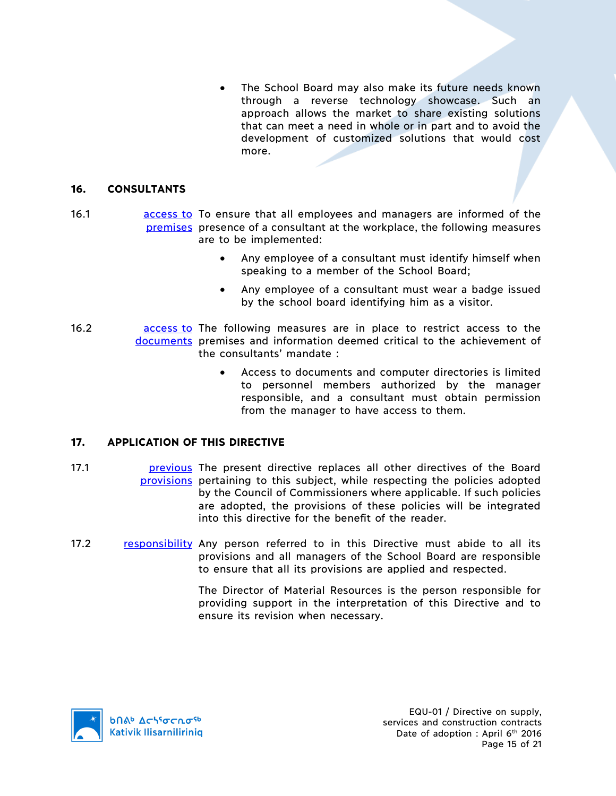The School Board may also make its future needs known through a reverse technology showcase. Such an approach allows the market to share existing solutions that can meet a need in whole or in part and to avoid the development of customized solutions that would cost more.

### **16. CONSULTANTS**

- 16.1 **access to To ensure that all employees and managers are informed of the** premises presence of a consultant at the workplace, the following measures are to be implemented:
	- Any employee of a consultant must identify himself when speaking to a member of the School Board;
	- Any employee of a consultant must wear a badge issued by the school board identifying him as a visitor.
- 16.2 **access to The following measures are in place to restrict access to the** documents premises and information deemed critical to the achievement of the consultants' mandate :
	- Access to documents and computer directories is limited to personnel members authorized by the manager responsible, and a consultant must obtain permission from the manager to have access to them.

# **17. APPLICATION OF THIS DIRECTIVE**

- 17.1 **previous** The present directive replaces all other directives of the Board provisions pertaining to this subject, while respecting the policies adopted by the Council of Commissioners where applicable. If such policies are adopted, the provisions of these policies will be integrated into this directive for the benefit of the reader.
- 17.2 responsibility Any person referred to in this Directive must abide to all its provisions and all managers of the School Board are responsible to ensure that all its provisions are applied and respected.

The Director of Material Resources is the person responsible for providing support in the interpretation of this Directive and to ensure its revision when necessary.

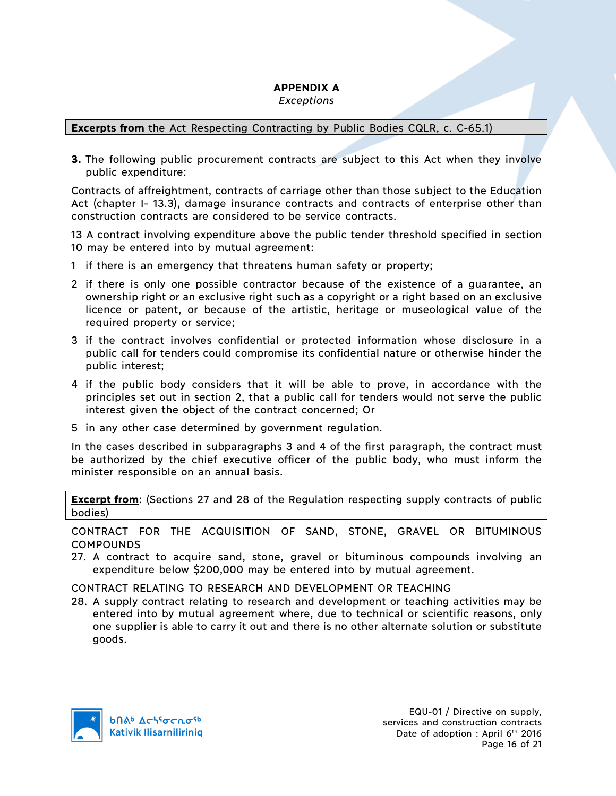# **APPENDIX A**

*Exceptions*

# **Excerpts from** the Act Respecting Contracting by Public Bodies CQLR, c. C-65.1)

**3.** The following public procurement contracts are subject to this Act when they involve public expenditure:

Contracts of affreightment, contracts of carriage other than those subject to the Education Act (chapter I- 13.3), damage insurance contracts and contracts of enterprise other than construction contracts are considered to be service contracts.

13 A contract involving expenditure above the public tender threshold specified in section 10 may be entered into by mutual agreement:

- 1 if there is an emergency that threatens human safety or property;
- 2 if there is only one possible contractor because of the existence of a guarantee, an ownership right or an exclusive right such as a copyright or a right based on an exclusive licence or patent, or because of the artistic, heritage or museological value of the required property or service;
- 3 if the contract involves confidential or protected information whose disclosure in a public call for tenders could compromise its confidential nature or otherwise hinder the public interest;
- 4 if the public body considers that it will be able to prove, in accordance with the principles set out in section 2, that a public call for tenders would not serve the public interest given the object of the contract concerned; Or
- 5 in any other case determined by government regulation.

In the cases described in subparagraphs 3 and 4 of the first paragraph, the contract must be authorized by the chief executive officer of the public body, who must inform the minister responsible on an annual basis.

**Excerpt from**: (Sections 27 and 28 of the Regulation respecting supply contracts of public bodies)

CONTRACT FOR THE ACQUISITION OF SAND, STONE, GRAVEL OR BITUMINOUS **COMPOUNDS** 

27. A contract to acquire sand, stone, gravel or bituminous compounds involving an expenditure below \$200,000 may be entered into by mutual agreement.

CONTRACT RELATING TO RESEARCH AND DEVELOPMENT OR TEACHING

28. A supply contract relating to research and development or teaching activities may be entered into by mutual agreement where, due to technical or scientific reasons, only one supplier is able to carry it out and there is no other alternate solution or substitute goods.

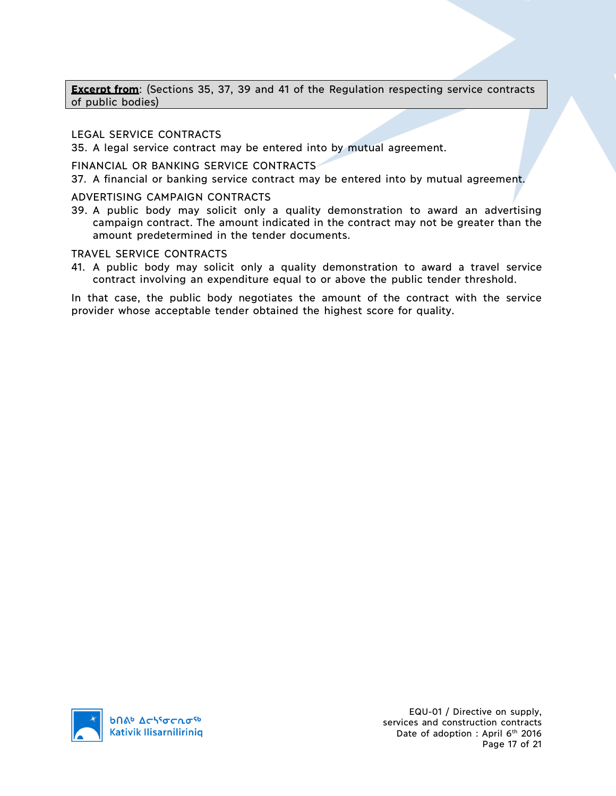**Excerpt from**: (Sections 35, 37, 39 and 41 of the Regulation respecting service contracts of public bodies)

LEGAL SERVICE CONTRACTS

35. A legal service contract may be entered into by mutual agreement.

FINANCIAL OR BANKING SERVICE CONTRACTS

37. A financial or banking service contract may be entered into by mutual agreement.

ADVERTISING CAMPAIGN CONTRACTS

39. A public body may solicit only a quality demonstration to award an advertising campaign contract. The amount indicated in the contract may not be greater than the amount predetermined in the tender documents.

TRAVEL SERVICE CONTRACTS

41. A public body may solicit only a quality demonstration to award a travel service contract involving an expenditure equal to or above the public tender threshold.

In that case, the public body negotiates the amount of the contract with the service provider whose acceptable tender obtained the highest score for quality.

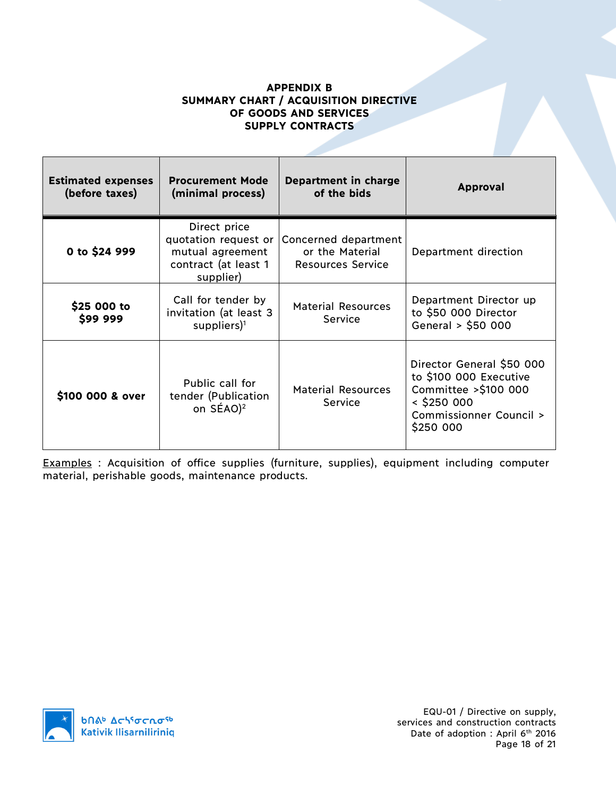# **APPENDIX B SUMMARY CHART / ACQUISITION DIRECTIVE OF GOODS AND SERVICES SUPPLY CONTRACTS**

| <b>Estimated expenses</b><br>(before taxes) | <b>Procurement Mode</b><br><b>Department in charge</b><br>of the bids<br>(minimal process)    |                                                                     | <b>Approval</b>                                                                                                                      |
|---------------------------------------------|-----------------------------------------------------------------------------------------------|---------------------------------------------------------------------|--------------------------------------------------------------------------------------------------------------------------------------|
| 0 to \$24 999                               | Direct price<br>quotation request or<br>mutual agreement<br>contract (at least 1<br>supplier) | Concerned department<br>or the Material<br><b>Resources Service</b> | Department direction                                                                                                                 |
| \$25 000 to<br>\$99 999                     | Call for tender by<br>invitation (at least 3<br>suppliers $)^1$                               | <b>Material Resources</b><br><b>Service</b>                         | Department Director up<br>to \$50 000 Director<br>General > \$50 000                                                                 |
| \$100 000 & over                            | Public call for<br>tender (Publication<br>on SÉAO) <sup>2</sup>                               | <b>Material Resources</b><br>Service                                | Director General \$50 000<br>to \$100 000 Executive<br>Committee >\$100 000<br>$<$ \$250 000<br>Commissionner Council ><br>\$250 000 |

Examples : Acquisition of office supplies (furniture, supplies), equipment including computer material, perishable goods, maintenance products.

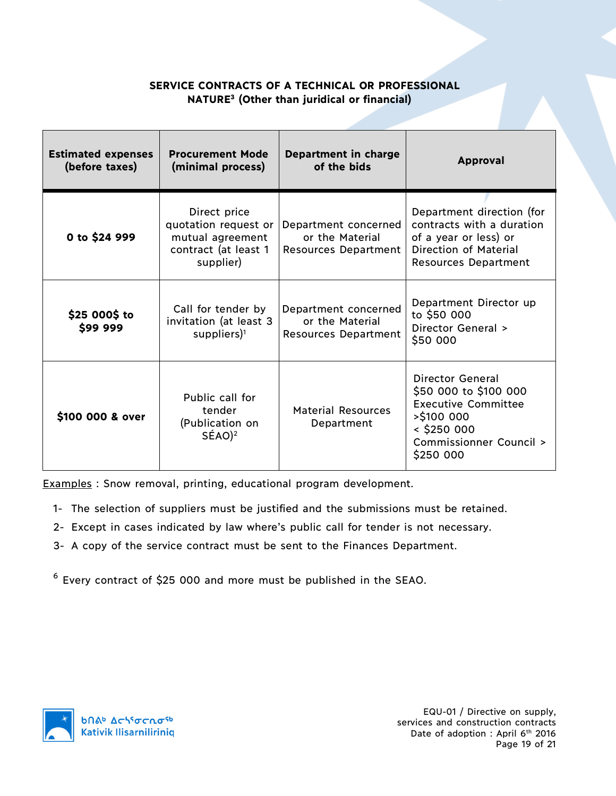# **SERVICE CONTRACTS OF A TECHNICAL OR PROFESSIONAL NATURE3 (Other than juridical or financial)**

| <b>Estimated expenses</b><br>(before taxes) | <b>Procurement Mode</b><br>(minimal process)                                                  | Department in charge<br>of the bids                                    | <b>Approval</b>                                                                                                                                   |
|---------------------------------------------|-----------------------------------------------------------------------------------------------|------------------------------------------------------------------------|---------------------------------------------------------------------------------------------------------------------------------------------------|
| 0 to \$24 999                               | Direct price<br>quotation request or<br>mutual agreement<br>contract (at least 1<br>supplier) | Department concerned<br>or the Material<br><b>Resources Department</b> | Department direction (for<br>contracts with a duration<br>of a year or less) or<br><b>Direction of Material</b><br><b>Resources Department</b>    |
| \$25 000\$ to<br>\$99 999                   | Call for tender by<br>invitation (at least 3<br>suppliers) $1$                                | Department concerned<br>or the Material<br><b>Resources Department</b> | Department Director up<br>to \$50 000<br>Director General ><br>\$50 000                                                                           |
| \$100 000 & over                            | Public call for<br>tender<br>(Publication on<br>$SÉAO$ <sup>2</sup>                           | <b>Material Resources</b><br>Department                                | Director General<br>\$50 000 to \$100 000<br><b>Executive Committee</b><br>$>$ \$100 000<br>$<$ \$250 000<br>Commissionner Council ><br>\$250 000 |

Examples : Snow removal, printing, educational program development.

- 1- The selection of suppliers must be justified and the submissions must be retained.
- 2- Except in cases indicated by law where's public call for tender is not necessary.
- 3- A copy of the service contract must be sent to the Finances Department.

<sup>6</sup> Every contract of \$25 000 and more must be published in the SEAO.



EQU-01 / Directive on supply, services and construction contracts Date of adoption : April 6<sup>th</sup> 2016 Page 19 of 21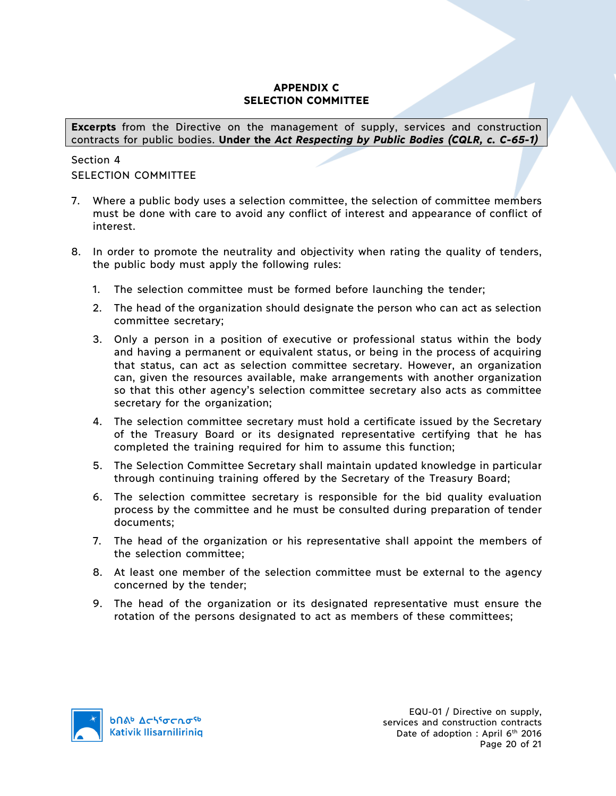# **APPENDIX C SELECTION COMMITTEE**

**Excerpts** from the Directive on the management of supply, services and construction contracts for public bodies. **Under the** *Act Respecting by Public Bodies (CQLR, c. C-65-1)*

# Section 4 SELECTION COMMITTEE

- 7. Where a public body uses a selection committee, the selection of committee members must be done with care to avoid any conflict of interest and appearance of conflict of interest.
- 8. In order to promote the neutrality and objectivity when rating the quality of tenders, the public body must apply the following rules:
	- 1. The selection committee must be formed before launching the tender;
	- 2. The head of the organization should designate the person who can act as selection committee secretary;
	- 3. Only a person in a position of executive or professional status within the body and having a permanent or equivalent status, or being in the process of acquiring that status, can act as selection committee secretary. However, an organization can, given the resources available, make arrangements with another organization so that this other agency's selection committee secretary also acts as committee secretary for the organization;
	- 4. The selection committee secretary must hold a certificate issued by the Secretary of the Treasury Board or its designated representative certifying that he has completed the training required for him to assume this function;
	- 5. The Selection Committee Secretary shall maintain updated knowledge in particular through continuing training offered by the Secretary of the Treasury Board;
	- 6. The selection committee secretary is responsible for the bid quality evaluation process by the committee and he must be consulted during preparation of tender documents;
	- 7. The head of the organization or his representative shall appoint the members of the selection committee;
	- 8. At least one member of the selection committee must be external to the agency concerned by the tender;
	- 9. The head of the organization or its designated representative must ensure the rotation of the persons designated to act as members of these committees;